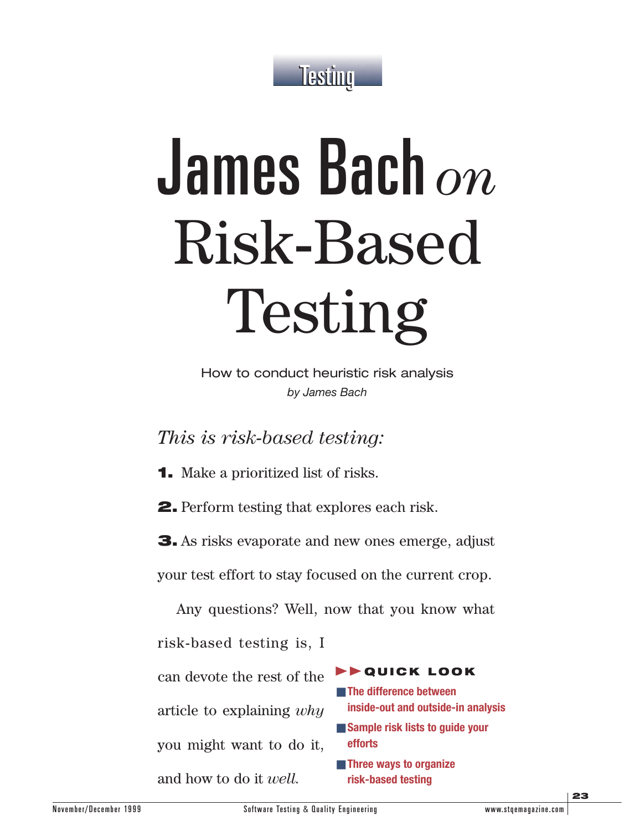

# James Bach *on* Risk-Based Testing

How to conduct heuristic risk analysis *by James Bach*

*This is risk-based testing:* 

**1.** Make a prioritized list of risks.

**2.** Perform testing that explores each risk.

**3.** As risks evaporate and new ones emerge, adjust

your test effort to stay focused on the current crop.

Any questions? Well, now that you know what

risk-based testing is, I

can devote the rest of the article to explaining *why*

you might want to do it,

and how to do it *well.*

**EXPLODE** ■ **The difference between inside-out and outside-in analysis** ■ **Sample risk lists to quide your efforts** ■ **Three ways to organize risk-based testing**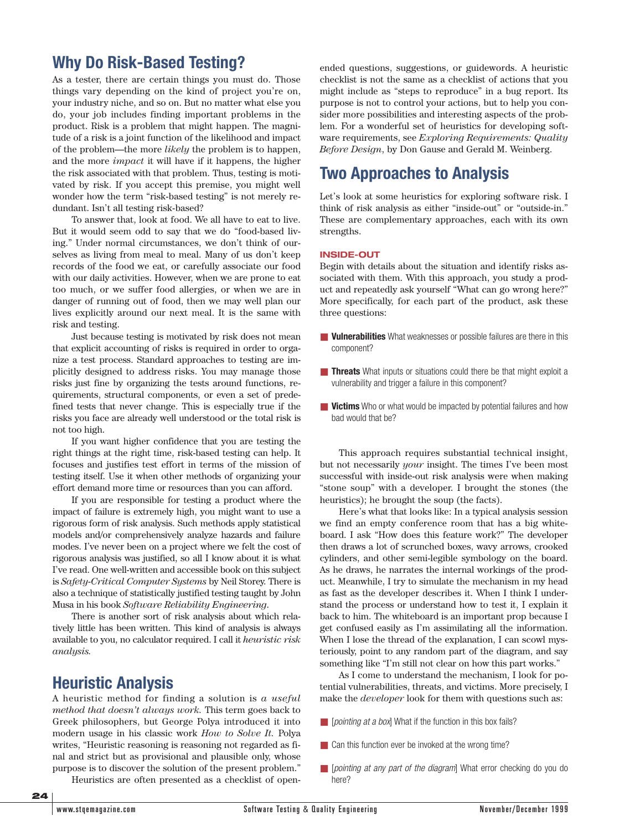# **Why Do Risk-Based Testing?**

As a tester, there are certain things you must do. Those things vary depending on the kind of project you're on, your industry niche, and so on. But no matter what else you do, your job includes finding important problems in the product. Risk is a problem that might happen. The magnitude of a risk is a joint function of the likelihood and impact of the problem—the more *likely* the problem is to happen, and the more *impact* it will have if it happens, the higher the risk associated with that problem. Thus, testing is motivated by risk. If you accept this premise, you might well wonder how the term "risk-based testing" is not merely redundant. Isn't all testing risk-based?

To answer that, look at food. We all have to eat to live. But it would seem odd to say that we do "food-based living." Under normal circumstances, we don't think of ourselves as living from meal to meal. Many of us don't keep records of the food we eat, or carefully associate our food with our daily activities. However, when we are prone to eat too much, or we suffer food allergies, or when we are in danger of running out of food, then we may well plan our lives explicitly around our next meal. It is the same with risk and testing.

Just because testing is motivated by risk does not mean that explicit accounting of risks is required in order to organize a test process. Standard approaches to testing are implicitly designed to address risks. You may manage those risks just fine by organizing the tests around functions, requirements, structural components, or even a set of predefined tests that never change. This is especially true if the risks you face are already well understood or the total risk is not too high.

If you want higher confidence that you are testing the right things at the right time, risk-based testing can help. It focuses and justifies test effort in terms of the mission of testing itself. Use it when other methods of organizing your effort demand more time or resources than you can afford.

If you are responsible for testing a product where the impact of failure is extremely high, you might want to use a rigorous form of risk analysis. Such methods apply statistical models and/or comprehensively analyze hazards and failure modes. I've never been on a project where we felt the cost of rigorous analysis was justified, so all I know about it is what I've read. One well-written and accessible book on this subject is *Safety-Critical Computer Systems* by Neil Storey. There is also a technique of statistically justified testing taught by John Musa in his book *Software Reliability Engineering*.

There is another sort of risk analysis about which relatively little has been written. This kind of analysis is always available to you, no calculator required. I call it *heuristic risk analysis.*

## **Heuristic Analysis**

A heuristic method for finding a solution is *a useful method that doesn't always work.* This term goes back to Greek philosophers, but George Polya introduced it into modern usage in his classic work *How to Solve It.* Polya writes, "Heuristic reasoning is reasoning not regarded as final and strict but as provisional and plausible only, whose purpose is to discover the solution of the present problem."

Heuristics are often presented as a checklist of open-

ended questions, suggestions, or guidewords. A heuristic checklist is not the same as a checklist of actions that you might include as "steps to reproduce" in a bug report. Its purpose is not to control your actions, but to help you consider more possibilities and interesting aspects of the problem. For a wonderful set of heuristics for developing software requirements, see *Exploring Requirements: Quality Before Design*, by Don Gause and Gerald M. Weinberg.

# **Two Approaches to Analysis**

Let's look at some heuristics for exploring software risk. I think of risk analysis as either "inside-out" or "outside-in." These are complementary approaches, each with its own strengths.

#### **INSIDE-OUT**

Begin with details about the situation and identify risks associated with them. With this approach, you study a product and repeatedly ask yourself "What can go wrong here?" More specifically, for each part of the product, ask these three questions:

- **Vulnerabilities** What weaknesses or possible failures are there in this component?
- **Threats** What inputs or situations could there be that might exploit a vulnerability and trigger a failure in this component?
- **Victims** Who or what would be impacted by potential failures and how bad would that be?

This approach requires substantial technical insight, but not necessarily *your* insight. The times I've been most successful with inside-out risk analysis were when making "stone soup" with a developer. I brought the stones (the heuristics); he brought the soup (the facts).

Here's what that looks like: In a typical analysis session we find an empty conference room that has a big whiteboard. I ask "How does this feature work?" The developer then draws a lot of scrunched boxes, wavy arrows, crooked cylinders, and other semi-legible symbology on the board. As he draws, he narrates the internal workings of the product. Meanwhile, I try to simulate the mechanism in my head as fast as the developer describes it. When I think I understand the process or understand how to test it, I explain it back to him. The whiteboard is an important prop because I get confused easily as I'm assimilating all the information. When I lose the thread of the explanation, I can scowl mysteriously, point to any random part of the diagram, and say something like "I'm still not clear on how this part works."

As I come to understand the mechanism, I look for potential vulnerabilities, threats, and victims. More precisely, I make the *developer* look for them with questions such as:

- *[pointing at a box*] What if the function in this box fails?
- Can this function ever be invoked at the wrong time?
- [*pointing at any part of the diagram*] What error checking do you do here?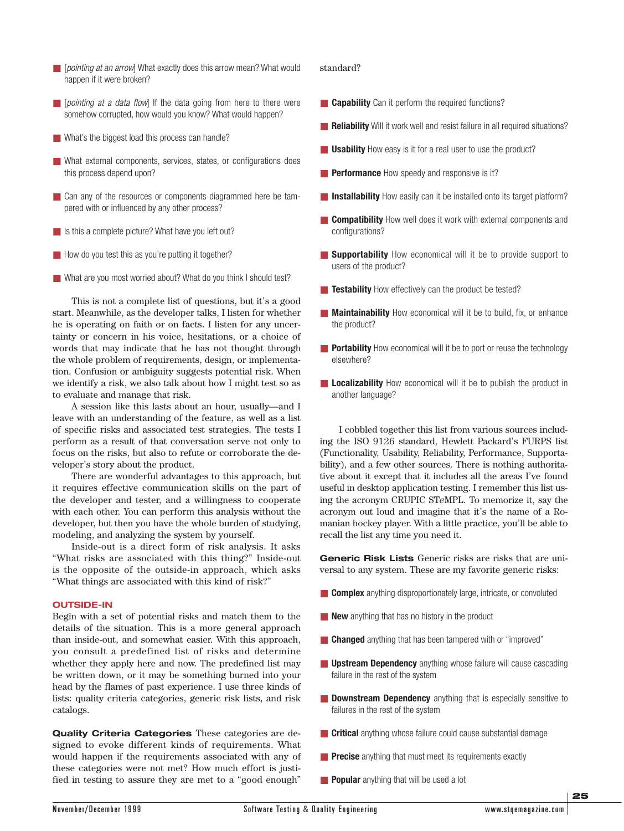- [pointing at an arrow] What exactly does this arrow mean? What would happen if it were broken?
- [*pointing at a data flow*] If the data going from here to there were somehow corrupted, how would you know? What would happen?
- What's the biggest load this process can handle?
- What external components, services, states, or configurations does this process depend upon?
- Can any of the resources or components diagrammed here be tampered with or influenced by any other process?
- Is this a complete picture? What have you left out?
- How do you test this as you're putting it together?
- What are you most worried about? What do you think I should test?

This is not a complete list of questions, but it's a good start. Meanwhile, as the developer talks, I listen for whether he is operating on faith or on facts. I listen for any uncertainty or concern in his voice, hesitations, or a choice of words that may indicate that he has not thought through the whole problem of requirements, design, or implementation. Confusion or ambiguity suggests potential risk. When we identify a risk, we also talk about how I might test so as to evaluate and manage that risk.

A session like this lasts about an hour, usually—and I leave with an understanding of the feature, as well as a list of specific risks and associated test strategies. The tests I perform as a result of that conversation serve not only to focus on the risks, but also to refute or corroborate the developer's story about the product.

There are wonderful advantages to this approach, but it requires effective communication skills on the part of the developer and tester, and a willingness to cooperate with each other. You can perform this analysis without the developer, but then you have the whole burden of studying, modeling, and analyzing the system by yourself.

Inside-out is a direct form of risk analysis. It asks "What risks are associated with this thing?" Inside-out is the opposite of the outside-in approach, which asks "What things are associated with this kind of risk?"

#### **OUTSIDE-IN**

Begin with a set of potential risks and match them to the details of the situation. This is a more general approach than inside-out, and somewhat easier. With this approach, you consult a predefined list of risks and determine whether they apply here and now. The predefined list may be written down, or it may be something burned into your head by the flames of past experience. I use three kinds of lists: quality criteria categories, generic risk lists, and risk catalogs.

**Quality Criteria Categories** These categories are designed to evoke different kinds of requirements. What would happen if the requirements associated with any of these categories were not met? How much effort is justified in testing to assure they are met to a "good enough"

#### standard?

- **Capability** Can it perform the required functions?
- Reliability Will it work well and resist failure in all required situations?
- **Usability** How easy is it for a real user to use the product?
- **Performance** How speedy and responsive is it?
- **Installability** How easily can it be installed onto its target platform?
- **Compatibility** How well does it work with external components and configurations?
- **Supportability** How economical will it be to provide support to users of the product?
- **Testability** How effectively can the product be tested?
- **Maintainability** How economical will it be to build, fix, or enhance the product?
- **Portability** How economical will it be to port or reuse the technology elsewhere?
- **Localizability** How economical will it be to publish the product in another language?

I cobbled together this list from various sources including the ISO 9126 standard, Hewlett Packard's FURPS list (Functionality, Usability, Reliability, Performance, Supportability), and a few other sources. There is nothing authoritative about it except that it includes all the areas I've found useful in desktop application testing. I remember this list using the acronym CRUPIC ST*e*MPL. To memorize it, say the acronym out loud and imagine that it's the name of a Romanian hockey player. With a little practice, you'll be able to recall the list any time you need it.

**Generic Risk Lists** Generic risks are risks that are universal to any system. These are my favorite generic risks:

- **Complex** anything disproportionately large, intricate, or convoluted
- **New** anything that has no history in the product
- **Changed** anything that has been tampered with or "improved"
- **Upstream Dependency** anything whose failure will cause cascading failure in the rest of the system
- **Downstream Dependency** anything that is especially sensitive to failures in the rest of the system
- **Critical** anything whose failure could cause substantial damage
- **Precise** anything that must meet its requirements exactly
- **Popular** anything that will be used a lot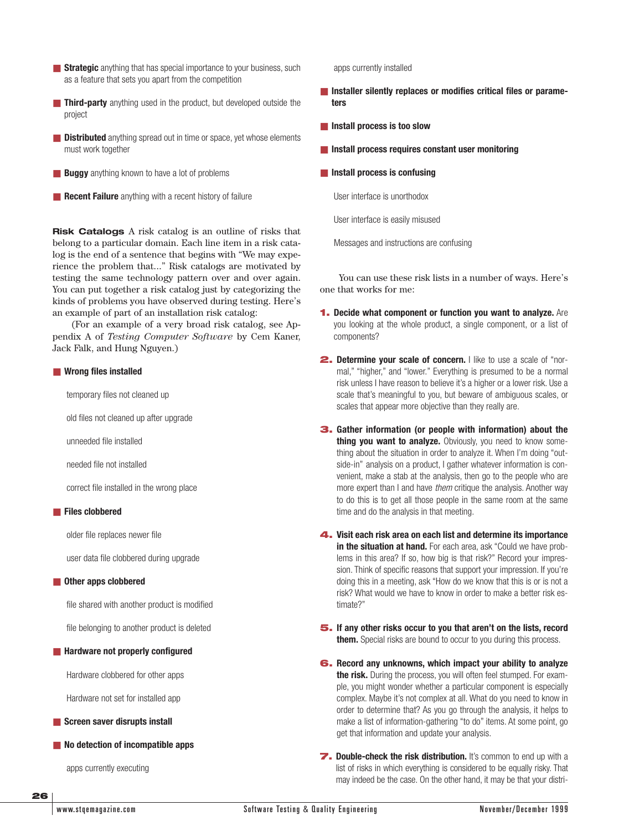- **Strategic** anything that has special importance to your business, such as a feature that sets you apart from the competition
- **Third-party** anything used in the product, but developed outside the project
- **Distributed** anything spread out in time or space, yet whose elements must work together
- **Buggy** anything known to have a lot of problems
- **Recent Failure** anything with a recent history of failure

**Risk Catalogs** A risk catalog is an outline of risks that belong to a particular domain. Each line item in a risk catalog is the end of a sentence that begins with "We may experience the problem that..." Risk catalogs are motivated by testing the same technology pattern over and over again. You can put together a risk catalog just by categorizing the kinds of problems you have observed during testing. Here's an example of part of an installation risk catalog:

(For an example of a very broad risk catalog, see Appendix A of *Testing Computer Software* by Cem Kaner, Jack Falk, and Hung Nguyen.)

#### ■ **Wrong files installed**

temporary files not cleaned up

old files not cleaned up after upgrade

unneeded file installed

needed file not installed

correct file installed in the wrong place

#### ■ **Files clobbered**

older file replaces newer file

user data file clobbered during upgrade

#### ■ Other apps clobbered

file shared with another product is modified

file belonging to another product is deleted

#### ■ **Hardware not properly configured**

Hardware clobbered for other apps

Hardware not set for installed app

#### ■ **Screen saver disrupts install**

■ **No detection of incompatible apps** 

apps currently executing

apps currently installed

- Installer silently replaces or modifies critical files or parame**ters**
- **Install process is too slow**
- **Install process requires constant user monitoring**
- **Install process is confusing**

User interface is unorthodox

User interface is easily misused

Messages and instructions are confusing

You can use these risk lists in a number of ways. Here's one that works for me:

- **1. Decide what component or function you want to analyze.** Are you looking at the whole product, a single component, or a list of components?
- **2. Determine your scale of concern.** I like to use a scale of "normal," "higher," and "lower." Everything is presumed to be a normal risk unless I have reason to believe it's a higher or a lower risk. Use a scale that's meaningful to you, but beware of ambiguous scales, or scales that appear more objective than they really are.
- **3. Gather information (or people with information) about the thing you want to analyze.** Obviously, you need to know something about the situation in order to analyze it. When I'm doing "outside-in" analysis on a product, I gather whatever information is convenient, make a stab at the analysis, then go to the people who are more expert than I and have *them* critique the analysis. Another way to do this is to get all those people in the same room at the same time and do the analysis in that meeting.
- **4. Visit each risk area on each list and determine its importance** in the situation at hand. For each area, ask "Could we have problems in this area? If so, how big is that risk?" Record your impression. Think of specific reasons that support your impression. If you're doing this in a meeting, ask "How do we know that this is or is not a risk? What would we have to know in order to make a better risk estimate?"
- **5. If any other risks occur to you that aren't on the lists, record them.** Special risks are bound to occur to you during this process.
- **6. Record any unknowns, which impact your ability to analyze the risk.** During the process, you will often feel stumped. For example, you might wonder whether a particular component is especially complex. Maybe it's not complex at all. What do you need to know in order to determine that? As you go through the analysis, it helps to make a list of information-gathering "to do" items. At some point, go get that information and update your analysis.
- **7. Double-check the risk distribution.** It's common to end up with a list of risks in which everything is considered to be equally risky. That may indeed be the case. On the other hand, it may be that your distri-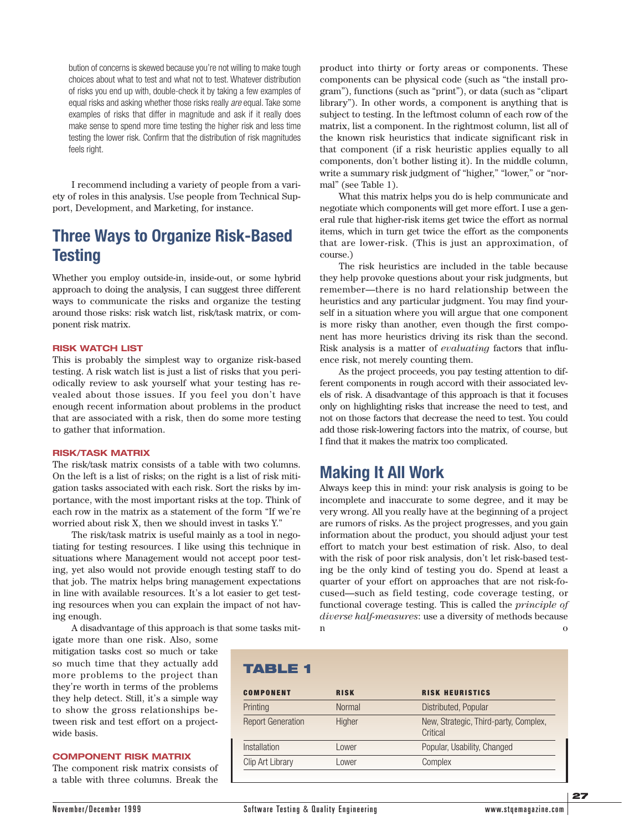bution of concerns is skewed because you're not willing to make tough choices about what to test and what not to test. Whatever distribution of risks you end up with, double-check it by taking a few examples of equal risks and asking whether those risks really *are* equal. Take some examples of risks that differ in magnitude and ask if it really does make sense to spend more time testing the higher risk and less time testing the lower risk. Confirm that the distribution of risk magnitudes feels right.

I recommend including a variety of people from a variety of roles in this analysis. Use people from Technical Support, Development, and Marketing, for instance.

# **Three Ways to Organize Risk-Based Testing**

Whether you employ outside-in, inside-out, or some hybrid approach to doing the analysis, I can suggest three different ways to communicate the risks and organize the testing around those risks: risk watch list, risk/task matrix, or component risk matrix.

#### **RISK WATCH LIST**

This is probably the simplest way to organize risk-based testing. A risk watch list is just a list of risks that you periodically review to ask yourself what your testing has revealed about those issues. If you feel you don't have enough recent information about problems in the product that are associated with a risk, then do some more testing to gather that information.

#### **RISK/TASK MATRIX**

The risk/task matrix consists of a table with two columns. On the left is a list of risks; on the right is a list of risk mitigation tasks associated with each risk. Sort the risks by importance, with the most important risks at the top. Think of each row in the matrix as a statement of the form "If we're worried about risk X, then we should invest in tasks Y."

The risk/task matrix is useful mainly as a tool in negotiating for testing resources. I like using this technique in situations where Management would not accept poor testing, yet also would not provide enough testing staff to do that job. The matrix helps bring management expectations in line with available resources. It's a lot easier to get testing resources when you can explain the impact of not having enough.

A disadvantage of this approach is that some tasks mit-

igate more than one risk. Also, some mitigation tasks cost so much or take so much time that they actually add more problems to the project than they're worth in terms of the problems they help detect. Still, it's a simple way to show the gross relationships between risk and test effort on a projectwide basis.

#### **COMPONENT RISK MATRIX**

The component risk matrix consists of a table with three columns. Break the product into thirty or forty areas or components. These components can be physical code (such as "the install program"), functions (such as "print"), or data (such as "clipart library"). In other words, a component is anything that is subject to testing. In the leftmost column of each row of the matrix, list a component. In the rightmost column, list all of the known risk heuristics that indicate significant risk in that component (if a risk heuristic applies equally to all components, don't bother listing it). In the middle column, write a summary risk judgment of "higher," "lower," or "normal" (see Table 1).

What this matrix helps you do is help communicate and negotiate which components will get more effort. I use a general rule that higher-risk items get twice the effort as normal items, which in turn get twice the effort as the components that are lower-risk. (This is just an approximation, of course.)

The risk heuristics are included in the table because they help provoke questions about your risk judgments, but remember—there is no hard relationship between the heuristics and any particular judgment. You may find yourself in a situation where you will argue that one component is more risky than another, even though the first component has more heuristics driving its risk than the second. Risk analysis is a matter of *evaluating* factors that influence risk, not merely counting them.

As the project proceeds, you pay testing attention to different components in rough accord with their associated levels of risk. A disadvantage of this approach is that it focuses only on highlighting risks that increase the need to test, and not on those factors that decrease the need to test. You could add those risk-lowering factors into the matrix, of course, but I find that it makes the matrix too complicated.

### **Making It All Work**

Always keep this in mind: your risk analysis is going to be incomplete and inaccurate to some degree, and it may be very wrong. All you really have at the beginning of a project are rumors of risks. As the project progresses, and you gain information about the product, you should adjust your test effort to match your best estimation of risk. Also, to deal with the risk of poor risk analysis, don't let risk-based testing be the only kind of testing you do. Spend at least a quarter of your effort on approaches that are not risk-focused—such as field testing, code coverage testing, or functional coverage testing. This is called the *principle of diverse half-measures*: use a diversity of methods because n o contra un contra un contra un contra un contra un contra un contra un contra un contra un contra un contra u

| TABLE 1       |                                                   |
|---------------|---------------------------------------------------|
| <b>RISK</b>   | <b>RISK HEURISTICS</b>                            |
| <b>Normal</b> | Distributed, Popular                              |
| Higher        | New, Strategic, Third-party, Complex,<br>Critical |
| Lower         | Popular, Usability, Changed                       |
| Lower         | Complex                                           |
|               |                                                   |